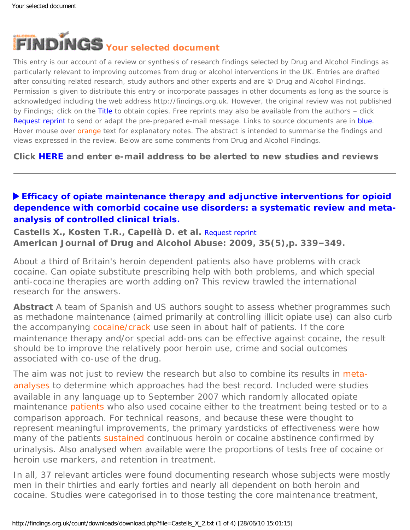<span id="page-0-0"></span>

This entry is our account of a review or synthesis of research findings selected by Drug and Alcohol Findings as particularly relevant to improving outcomes from drug or alcohol interventions in the UK. Entries are drafted after consulting related research, study authors and other experts and are © Drug and Alcohol Findings. Permission is given to distribute this entry or incorporate passages in other documents as long as the source is acknowledged including the web address http://findings.org.uk. However, the original review was not published by Findings; click on the Title to obtain copies. Free reprints may also be available from the authors – click Request reprint to send or adapt the pre-prepared e-mail message. Links to source documents are in blue. Hover mouse over orange text for explanatory notes. The abstract is intended to summarise the findings and views expressed in the review. Below are some comments from Drug and Alcohol Findings.

**Click [HERE](https://findings.org.uk/index.php#signUp) and enter e-mail address to be alerted to new studies and reviews**

# **[Efficacy of opiate maintenance therapy and adjunctive interventions for opioid](http://dx.doi.org/10.1080/00952990903108215)  [dependence with comorbid cocaine use disorders: a systematic review and meta](http://dx.doi.org/10.1080/00952990903108215)[analysis of controlled clinical trials.](http://dx.doi.org/10.1080/00952990903108215)**

**Castells X., Kosten T.R., Capellà D. et al.** [Request reprint](mailto:xcc@icf.uab.cat?Subject=Reprint%20request&body=Dear Dr Castells%0A%0AOn the Drug and Alcohol Findings web site (https://findings.org.uk) I read about your article:%0ACastells X., Kosten T.R., Capell� D. et al. Efficacy of opiate maintenance therapy and adjunctive interventions for opioid dependence with comorbid cocaine use disorders: a systematic review and meta-analysis of controlled clinical trials. American Journal of Drug and Alcohol Abuse: 2009, 35(5),p. 339-349.%0A%0AWould it be possible to for me to be sent a PDF reprint or the manuscript by return e-mail?%0A) **American Journal of Drug and Alcohol Abuse: 2009, 35(5),p. 339–349.**

About a third of Britain's heroin dependent patients also have problems with crack cocaine. Can opiate substitute prescribing help with both problems, and which special anti-cocaine therapies are worth adding on? This review trawled the international research for the answers.

**Abstract** A team of Spanish and US authors sought to assess whether programmes such as methadone maintenance (aimed primarily at controlling illicit opiate use) can also curb the accompanying [cocaine/crack](#page-0-0) use seen in about half of patients. If the core maintenance therapy and/or special add-ons can be effective against cocaine, the result should be to improve the relatively poor heroin use, crime and social outcomes associated with co-use of the drug.

The aim was not just to review the research but also to combine its results in [meta](#page-0-0)[analyses](#page-0-0) to determine which approaches had the best record. Included were studies available in any language up to September 2007 which randomly allocated opiate maintenance [patients](#page-0-0) who also used cocaine either to the treatment being tested or to a comparison approach. For technical reasons, and because these were thought to represent meaningful improvements, the primary yardsticks of effectiveness were how many of the patients [sustained](#page-0-0) continuous heroin or cocaine abstinence confirmed by urinalysis. Also analysed when available were the proportions of tests free of cocaine or heroin use markers, and retention in treatment.

In all, 37 relevant articles were found documenting research whose subjects were mostly men in their thirties and early forties and nearly all dependent on both heroin and cocaine. Studies were categorised in to those testing the core maintenance treatment,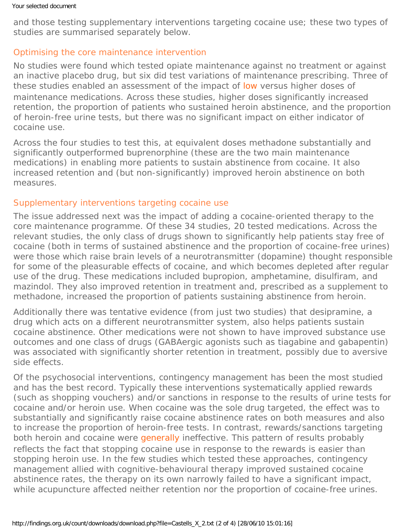and those testing supplementary interventions targeting cocaine use; these two types of studies are summarised separately below.

### Optimising the core maintenance intervention

No studies were found which tested opiate maintenance against no treatment or against an inactive placebo drug, but six did test variations of maintenance prescribing. Three of these studies enabled an assessment of the impact of [low](#page-0-0) versus higher doses of maintenance medications. Across these studies, higher doses significantly increased retention, the proportion of patients who sustained heroin abstinence, and the proportion of heroin-free urine tests, but there was no significant impact on either indicator of cocaine use.

Across the four studies to test this, at equivalent doses methadone substantially and significantly outperformed buprenorphine (these are the two main maintenance medications) in enabling more patients to sustain abstinence from cocaine. It also increased retention and (but non-significantly) improved heroin abstinence on both measures.

### Supplementary interventions targeting cocaine use

The issue addressed next was the impact of adding a cocaine-oriented therapy to the core maintenance programme. Of these 34 studies, 20 tested medications. Across the relevant studies, the only class of drugs shown to significantly help patients stay free of cocaine (both in terms of sustained abstinence and the proportion of cocaine-free urines) were those which raise brain levels of a neurotransmitter (dopamine) thought responsible for some of the pleasurable effects of cocaine, and which becomes depleted after regular use of the drug. These medications included bupropion, amphetamine, disulfiram, and mazindol. They also improved retention in treatment and, prescribed as a supplement to methadone, increased the proportion of patients sustaining abstinence from heroin.

Additionally there was tentative evidence (from just two studies) that desipramine, a drug which acts on a different neurotransmitter system, also helps patients sustain cocaine abstinence. Other medications were not shown to have improved substance use outcomes and one class of drugs (GABAergic agonists such as tiagabine and gabapentin) was associated with significantly shorter retention in treatment, possibly due to aversive side effects.

Of the psychosocial interventions, contingency management has been the most studied and has the best record. Typically these interventions systematically applied rewards (such as shopping vouchers) and/or sanctions in response to the results of urine tests for cocaine and/or heroin use. When cocaine was the sole drug targeted, the effect was to substantially and significantly raise cocaine abstinence rates on both measures and also to increase the proportion of heroin-free tests. In contrast, rewards/sanctions targeting both heroin and cocaine were [generally](#page-0-0) ineffective. This pattern of results probably reflects the fact that stopping cocaine use in response to the rewards is easier than stopping heroin use. In the few studies which tested these approaches, contingency management allied with cognitive-behavioural therapy improved sustained cocaine abstinence rates, the therapy on its own narrowly failed to have a significant impact, while acupuncture affected neither retention nor the proportion of cocaine-free urines.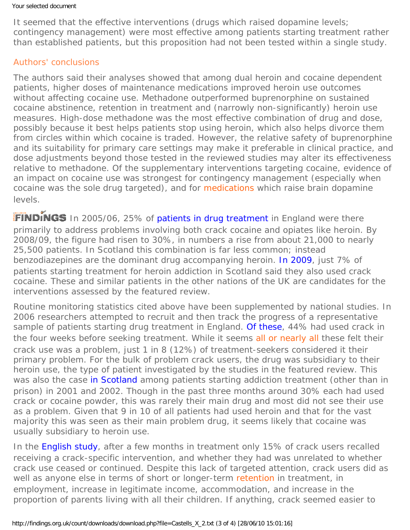It seemed that the effective interventions (drugs which raised dopamine levels; contingency management) were most effective among patients starting treatment rather than established patients, but this proposition had not been tested within a single study.

### Authors' conclusions

The authors said their analyses showed that among dual heroin and cocaine dependent patients, higher doses of maintenance medications improved heroin use outcomes without affecting cocaine use. Methadone outperformed buprenorphine on sustained cocaine abstinence, retention in treatment and (narrowly non-significantly) heroin use measures. High-dose methadone was the most effective combination of drug and dose, possibly because it best helps patients stop using heroin, which also helps divorce them from circles within which cocaine is traded. However, the relative safety of buprenorphine and its suitability for primary care settings may make it preferable in clinical practice, and dose adjustments beyond those tested in the reviewed studies may alter its effectiveness relative to methadone. Of the supplementary interventions targeting cocaine, evidence of an impact on cocaine use was strongest for contingency management (especially when cocaine was the sole drug targeted), and for [medications](#page-0-0) which raise brain dopamine levels.

**FINDINGS** In 2005/06, 25% of [patients in drug treatment](http://www.nta.nhs.uk/uploads/ndtms_annual_report_200809_final.pdf) in England were there primarily to address problems involving both crack cocaine and opiates like heroin. By 2008/09, the figure had risen to 30%, in numbers a rise from about 21,000 to nearly 25,500 patients. In Scotland this combination is far less common; instead benzodiazepines are the dominant drug accompanying heroin. [In 2009](http://www.drugmisuse.isdscotland.org/publications/09dmss/09dmssb.htm), just 7% of patients starting treatment for heroin addiction in Scotland said they also used crack cocaine. These and similar patients in the other nations of the UK are candidates for the interventions assessed by the featured review.

Routine monitoring statistics cited above have been supplemented by national studies. In 2006 researchers attempted to recruit and then track the progress of a representative sample of patients starting drug treatment in England. [Of these](https://findings.org.uk/count/downloads/download.php?file=Jones_A_4_back.htm#crack), 44% had used crack in the four weeks before seeking treatment. While it seems [all or nearly all](#page-0-0) these felt their crack use was a problem, just 1 in 8 (12%) of treatment-seekers considered it their primary problem. For the bulk of problem crack users, the drug was subsidiary to their heroin use, the type of patient investigated by the studies in the featured review. This was also the case [in Scotland](http://dx.doi.org/10.1080/0968763031000140183) among patients starting addiction treatment (other than in prison) in 2001 and 2002. Though in the past three months around 30% each had used crack or cocaine powder, this was rarely their main drug and most did not see their use as a problem. Given that 9 in 10 of all patients had used heroin and that for the vast majority this was seen as their main problem drug, it seems likely that cocaine was usually subsidiary to heroin use.

In the [English study](https://findings.org.uk/count/downloads/download.php?file=Jones_A_4_back.htm#crack), after a few months in treatment only 15% of crack users recalled receiving a crack-specific intervention, and whether they had was unrelated to whether crack use ceased or continued. Despite this lack of targeted attention, crack users did as well as anyone else in terms of short or longer-term [retention](#page-0-0) in treatment, in employment, increase in legitimate income, accommodation, and increase in the proportion of parents living with all their children. If anything, crack seemed easier to